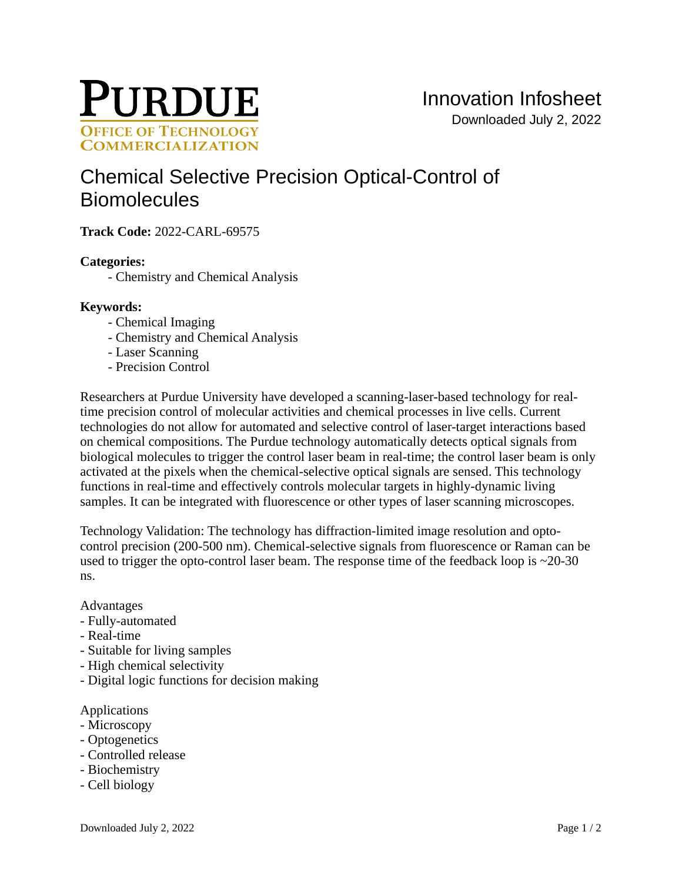

# [Chemical Selective Precision Optical-Control of](https://inventions.prf.org/innovation/8186)  **[Biomolecules](https://inventions.prf.org/innovation/8186)**

**Track Code:** 2022-CARL-69575

# **Categories:**

- Chemistry and Chemical Analysis

## **Keywords:**

- Chemical Imaging
- Chemistry and Chemical Analysis
- Laser Scanning
- Precision Control

Researchers at Purdue University have developed a scanning-laser-based technology for realtime precision control of molecular activities and chemical processes in live cells. Current technologies do not allow for automated and selective control of laser-target interactions based on chemical compositions. The Purdue technology automatically detects optical signals from biological molecules to trigger the control laser beam in real-time; the control laser beam is only activated at the pixels when the chemical-selective optical signals are sensed. This technology functions in real-time and effectively controls molecular targets in highly-dynamic living samples. It can be integrated with fluorescence or other types of laser scanning microscopes.

Technology Validation: The technology has diffraction-limited image resolution and optocontrol precision (200-500 nm). Chemical-selective signals from fluorescence or Raman can be used to trigger the opto-control laser beam. The response time of the feedback loop is  $\sim$ 20-30 ns.

## Advantages

- Fully-automated
- Real-time
- Suitable for living samples
- High chemical selectivity
- Digital logic functions for decision making

#### Applications

- Microscopy
- Optogenetics
- Controlled release
- Biochemistry
- Cell biology